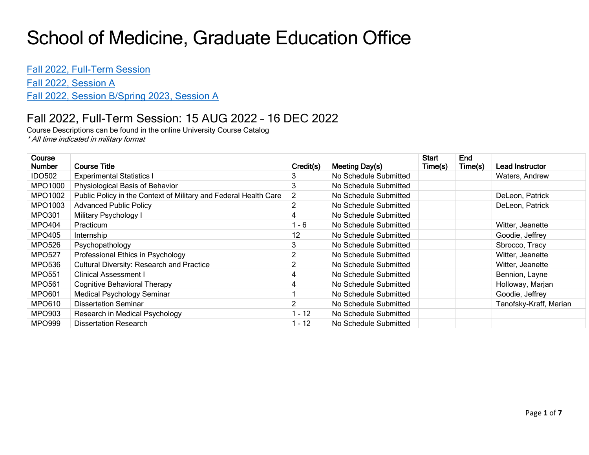## School of Medicine, Graduate Education Office

Fall [2022, Full-Term Session](#page-0-0)

[Fall 2022, Session A](#page-1-0)

Fall [2022, Session B/](#page-4-0)Spring 2023, Session A

## <span id="page-0-0"></span>Fall 2022, Full-Term Session: 15 AUG 2022 – 16 DEC 2022

Course Descriptions can be found in the online University Course Catalog \* All time indicated in military format

| Course<br>Number | <b>Course Title</b>                                              | Credit(s)      | Meeting Day(s)        | Start<br>Time(s) | End<br>Time(s) | Lead Instructor        |
|------------------|------------------------------------------------------------------|----------------|-----------------------|------------------|----------------|------------------------|
| <b>IDO502</b>    | <b>Experimental Statistics I</b>                                 |                | No Schedule Submitted |                  |                | Waters, Andrew         |
| <b>MPO1000</b>   | Physiological Basis of Behavior                                  | 3              | No Schedule Submitted |                  |                |                        |
| MPO1002          | Public Policy in the Context of Military and Federal Health Care | $\overline{2}$ | No Schedule Submitted |                  |                | DeLeon, Patrick        |
| MPO1003          | <b>Advanced Public Policy</b>                                    |                | No Schedule Submitted |                  |                | DeLeon, Patrick        |
| <b>MPO301</b>    | Military Psychology I                                            | 4              | No Schedule Submitted |                  |                |                        |
| MPO404           | Practicum                                                        | 1 - 6          | No Schedule Submitted |                  |                | Witter, Jeanette       |
| MPO405           | Internship                                                       | 12             | No Schedule Submitted |                  |                | Goodie, Jeffrey        |
| <b>MPO526</b>    | Psychopathology                                                  | 3              | No Schedule Submitted |                  |                | Sbrocco, Tracy         |
| <b>MPO527</b>    | Professional Ethics in Psychology                                |                | No Schedule Submitted |                  |                | Witter, Jeanette       |
| <b>MPO536</b>    | <b>Cultural Diversity: Research and Practice</b>                 | 2              | No Schedule Submitted |                  |                | Witter, Jeanette       |
| <b>MPO551</b>    | <b>Clinical Assessment I</b>                                     | 4              | No Schedule Submitted |                  |                | Bennion, Layne         |
| <b>MPO561</b>    | <b>Cognitive Behavioral Therapy</b>                              | 4              | No Schedule Submitted |                  |                | Holloway, Marjan       |
| <b>MPO601</b>    | <b>Medical Psychology Seminar</b>                                |                | No Schedule Submitted |                  |                | Goodie, Jeffrey        |
| <b>MPO610</b>    | <b>Dissertation Seminar</b>                                      |                | No Schedule Submitted |                  |                | Tanofsky-Kraff, Marian |
| <b>MPO903</b>    | Research in Medical Psychology                                   | 1 - 12         | No Schedule Submitted |                  |                |                        |
| <b>MPO999</b>    | <b>Dissertation Research</b>                                     | 1 - 12         | No Schedule Submitted |                  |                |                        |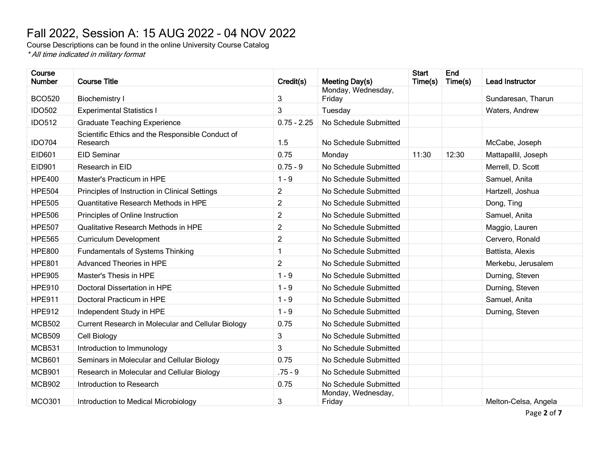## <span id="page-1-0"></span>Fall 2022, Session A: 15 AUG 2022 – 04 NOV 2022

Course Descriptions can be found in the online University Course Catalog \* All time indicated in military format

| Course<br><b>Number</b> | <b>Course Title</b>                                          | Credit(s)      | Meeting Day(s)               | <b>Start</b><br>Time(s) | End<br>Time(s) | <b>Lead Instructor</b> |
|-------------------------|--------------------------------------------------------------|----------------|------------------------------|-------------------------|----------------|------------------------|
| <b>BCO520</b>           | <b>Biochemistry I</b>                                        | 3              | Monday, Wednesday,<br>Friday |                         |                | Sundaresan, Tharun     |
| <b>IDO502</b>           | <b>Experimental Statistics I</b>                             | 3              | Tuesday                      |                         |                | Waters, Andrew         |
| <b>IDO512</b>           | <b>Graduate Teaching Experience</b>                          | $0.75 - 2.25$  | No Schedule Submitted        |                         |                |                        |
| <b>IDO704</b>           | Scientific Ethics and the Responsible Conduct of<br>Research | 1.5            | No Schedule Submitted        |                         |                | McCabe, Joseph         |
| EID601                  | <b>EID Seminar</b>                                           | 0.75           | Monday                       | 11:30                   | 12:30          | Mattapallil, Joseph    |
| EID901                  | Research in EID                                              | $0.75 - 9$     | No Schedule Submitted        |                         |                | Merrell, D. Scott      |
| <b>HPE400</b>           | Master's Practicum in HPE                                    | $1 - 9$        | No Schedule Submitted        |                         |                | Samuel, Anita          |
| <b>HPE504</b>           | Principles of Instruction in Clinical Settings               | $\overline{c}$ | No Schedule Submitted        |                         |                | Hartzell, Joshua       |
| <b>HPE505</b>           | Quantitative Research Methods in HPE                         | $\overline{c}$ | No Schedule Submitted        |                         |                | Dong, Ting             |
| <b>HPE506</b>           | Principles of Online Instruction                             | $\overline{c}$ | No Schedule Submitted        |                         |                | Samuel, Anita          |
| <b>HPE507</b>           | Qualitative Research Methods in HPE                          | $\overline{c}$ | No Schedule Submitted        |                         |                | Maggio, Lauren         |
| <b>HPE565</b>           | <b>Curriculum Development</b>                                | $\overline{c}$ | No Schedule Submitted        |                         |                | Cervero, Ronald        |
| <b>HPE800</b>           | <b>Fundamentals of Systems Thinking</b>                      | 1              | No Schedule Submitted        |                         |                | Battista, Alexis       |
| <b>HPE801</b>           | <b>Advanced Theories in HPE</b>                              | $\overline{2}$ | No Schedule Submitted        |                         |                | Merkebu, Jerusalem     |
| <b>HPE905</b>           | Master's Thesis in HPE                                       | $1 - 9$        | No Schedule Submitted        |                         |                | Durning, Steven        |
| <b>HPE910</b>           | Doctoral Dissertation in HPE                                 | $1 - 9$        | No Schedule Submitted        |                         |                | Durning, Steven        |
| <b>HPE911</b>           | Doctoral Practicum in HPE                                    | $1 - 9$        | No Schedule Submitted        |                         |                | Samuel, Anita          |
| <b>HPE912</b>           | Independent Study in HPE                                     | $1 - 9$        | No Schedule Submitted        |                         |                | Durning, Steven        |
| <b>MCB502</b>           | Current Research in Molecular and Cellular Biology           | 0.75           | No Schedule Submitted        |                         |                |                        |
| <b>MCB509</b>           | Cell Biology                                                 | 3              | No Schedule Submitted        |                         |                |                        |
| <b>MCB531</b>           | Introduction to Immunology                                   | 3              | No Schedule Submitted        |                         |                |                        |
| <b>MCB601</b>           | Seminars in Molecular and Cellular Biology                   | 0.75           | No Schedule Submitted        |                         |                |                        |
| <b>MCB901</b>           | Research in Molecular and Cellular Biology                   | $.75 - 9$      | No Schedule Submitted        |                         |                |                        |
| <b>MCB902</b>           | Introduction to Research                                     | 0.75           | No Schedule Submitted        |                         |                |                        |
| <b>MCO301</b>           | Introduction to Medical Microbiology                         | 3              | Monday, Wednesday,<br>Friday |                         |                | Melton-Celsa, Angela   |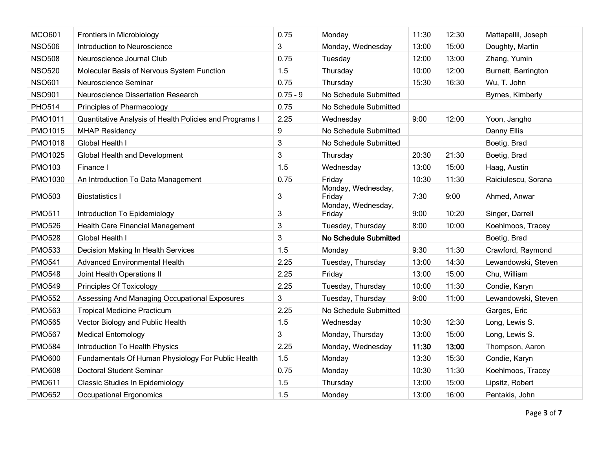| <b>MCO601</b>  | Frontiers in Microbiology                               | 0.75       | Monday                       | 11:30 | 12:30 | Mattapallil, Joseph |
|----------------|---------------------------------------------------------|------------|------------------------------|-------|-------|---------------------|
| <b>NSO506</b>  | Introduction to Neuroscience                            | 3          | Monday, Wednesday            | 13:00 | 15:00 | Doughty, Martin     |
| <b>NSO508</b>  | Neuroscience Journal Club                               | 0.75       | Tuesday                      | 12:00 | 13:00 | Zhang, Yumin        |
| <b>NSO520</b>  | Molecular Basis of Nervous System Function              | 1.5        | Thursday                     | 10:00 | 12:00 | Burnett, Barrington |
| <b>NSO601</b>  | Neuroscience Seminar                                    | 0.75       | Thursday                     | 15:30 | 16:30 | Wu, T. John         |
| <b>NSO901</b>  | Neuroscience Dissertation Research                      | $0.75 - 9$ | No Schedule Submitted        |       |       | Byrnes, Kimberly    |
| <b>PHO514</b>  | Principles of Pharmacology                              | 0.75       | No Schedule Submitted        |       |       |                     |
| <b>PMO1011</b> | Quantitative Analysis of Health Policies and Programs I | 2.25       | Wednesday                    | 9:00  | 12:00 | Yoon, Jangho        |
| <b>PMO1015</b> | <b>MHAP Residency</b>                                   | 9          | No Schedule Submitted        |       |       | Danny Ellis         |
| <b>PMO1018</b> | Global Health I                                         | 3          | No Schedule Submitted        |       |       | Boetig, Brad        |
| <b>PMO1025</b> | Global Health and Development                           | 3          | Thursday                     | 20:30 | 21:30 | Boetig, Brad        |
| <b>PMO103</b>  | Finance I                                               | 1.5        | Wednesday                    | 13:00 | 15:00 | Haag, Austin        |
| PMO1030        | An Introduction To Data Management                      | 0.75       | Friday                       | 10:30 | 11:30 | Raiciulescu, Sorana |
| <b>PMO503</b>  | <b>Biostatistics I</b>                                  | 3          | Monday, Wednesday,<br>Friday | 7:30  | 9:00  | Ahmed, Anwar        |
| <b>PMO511</b>  | Introduction To Epidemiology                            | 3          | Monday, Wednesday,<br>Friday | 9:00  | 10:20 | Singer, Darrell     |
| <b>PMO526</b>  | Health Care Financial Management                        | $\sqrt{3}$ | Tuesday, Thursday            | 8:00  | 10:00 | Koehlmoos, Tracey   |
| <b>PMO528</b>  | Global Health I                                         | 3          | No Schedule Submitted        |       |       | Boetig, Brad        |
| <b>PMO533</b>  | Decision Making In Health Services                      | 1.5        | Monday                       | 9:30  | 11:30 | Crawford, Raymond   |
| <b>PMO541</b>  | <b>Advanced Environmental Health</b>                    | 2.25       | Tuesday, Thursday            | 13:00 | 14:30 | Lewandowski, Steven |
| <b>PMO548</b>  | Joint Health Operations II                              | 2.25       | Friday                       | 13:00 | 15:00 | Chu, William        |
| <b>PMO549</b>  | Principles Of Toxicology                                | 2.25       | Tuesday, Thursday            | 10:00 | 11:30 | Condie, Karyn       |
| <b>PMO552</b>  | Assessing And Managing Occupational Exposures           | 3          | Tuesday, Thursday            | 9:00  | 11:00 | Lewandowski, Steven |
| <b>PMO563</b>  | <b>Tropical Medicine Practicum</b>                      | 2.25       | No Schedule Submitted        |       |       | Garges, Eric        |
| <b>PMO565</b>  | Vector Biology and Public Health                        | 1.5        | Wednesday                    | 10:30 | 12:30 | Long, Lewis S.      |
| <b>PMO567</b>  | <b>Medical Entomology</b>                               | 3          | Monday, Thursday             | 13:00 | 15:00 | Long, Lewis S.      |
| <b>PMO584</b>  | Introduction To Health Physics                          | 2.25       | Monday, Wednesday            | 11:30 | 13:00 | Thompson, Aaron     |
| <b>PMO600</b>  | Fundamentals Of Human Physiology For Public Health      | 1.5        | Monday                       | 13:30 | 15:30 | Condie, Karyn       |
| <b>PMO608</b>  | <b>Doctoral Student Seminar</b>                         | 0.75       | Monday                       | 10:30 | 11:30 | Koehlmoos, Tracey   |
| <b>PMO611</b>  | <b>Classic Studies In Epidemiology</b>                  | 1.5        | Thursday                     | 13:00 | 15:00 | Lipsitz, Robert     |
| <b>PMO652</b>  | <b>Occupational Ergonomics</b>                          | 1.5        | Monday                       | 13:00 | 16:00 | Pentakis, John      |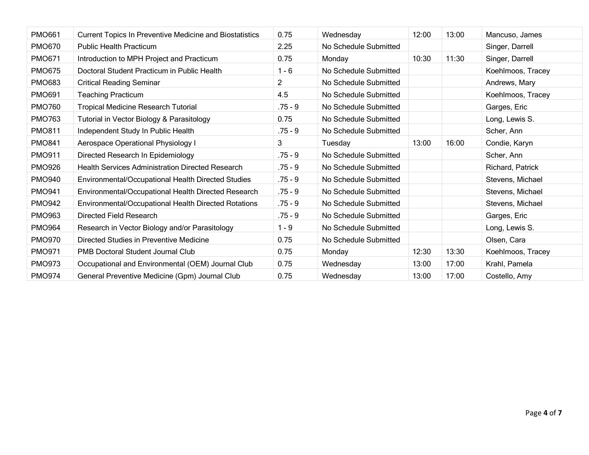| <b>PMO661</b> | <b>Current Topics In Preventive Medicine and Biostatistics</b> | 0.75           | Wednesday             | 12:00 | 13:00 | Mancuso, James    |
|---------------|----------------------------------------------------------------|----------------|-----------------------|-------|-------|-------------------|
| <b>PMO670</b> | <b>Public Health Practicum</b>                                 | 2.25           | No Schedule Submitted |       |       | Singer, Darrell   |
| <b>PMO671</b> | Introduction to MPH Project and Practicum                      | 0.75           | Monday                | 10:30 | 11:30 | Singer, Darrell   |
| <b>PMO675</b> | Doctoral Student Practicum in Public Health                    | $1 - 6$        | No Schedule Submitted |       |       | Koehlmoos, Tracey |
| <b>PMO683</b> | <b>Critical Reading Seminar</b>                                | $\overline{2}$ | No Schedule Submitted |       |       | Andrews, Mary     |
| <b>PMO691</b> | <b>Teaching Practicum</b>                                      | 4.5            | No Schedule Submitted |       |       | Koehlmoos, Tracey |
| <b>PMO760</b> | <b>Tropical Medicine Research Tutorial</b>                     | .75 - 9        | No Schedule Submitted |       |       | Garges, Eric      |
| <b>PMO763</b> | Tutorial in Vector Biology & Parasitology                      | 0.75           | No Schedule Submitted |       |       | Long, Lewis S.    |
| <b>PMO811</b> | Independent Study In Public Health                             | $.75 - 9$      | No Schedule Submitted |       |       | Scher, Ann        |
| <b>PMO841</b> | Aerospace Operational Physiology I                             | 3              | Tuesday               | 13:00 | 16:00 | Condie, Karyn     |
| <b>PMO911</b> | Directed Research In Epidemiology                              | $.75 - 9$      | No Schedule Submitted |       |       | Scher, Ann        |
| <b>PMO926</b> | <b>Health Services Administration Directed Research</b>        | .75 - 9        | No Schedule Submitted |       |       | Richard, Patrick  |
| <b>PMO940</b> | Environmental/Occupational Health Directed Studies             | .75 - 9        | No Schedule Submitted |       |       | Stevens, Michael  |
| <b>PMO941</b> | Environmental/Occupational Health Directed Research            | $.75 - 9$      | No Schedule Submitted |       |       | Stevens, Michael  |
| <b>PMO942</b> | Environmental/Occupational Health Directed Rotations           | $.75 - 9$      | No Schedule Submitted |       |       | Stevens, Michael  |
| <b>PMO963</b> | Directed Field Research                                        | $.75 - 9$      | No Schedule Submitted |       |       | Garges, Eric      |
| <b>PMO964</b> | Research in Vector Biology and/or Parasitology                 | $1 - 9$        | No Schedule Submitted |       |       | Long, Lewis S.    |
| <b>PMO970</b> | Directed Studies in Preventive Medicine                        | 0.75           | No Schedule Submitted |       |       | Olsen, Cara       |
| <b>PMO971</b> | <b>PMB Doctoral Student Journal Club</b>                       | 0.75           | Monday                | 12:30 | 13:30 | Koehlmoos, Tracey |
| <b>PMO973</b> | Occupational and Environmental (OEM) Journal Club              | 0.75           | Wednesday             | 13:00 | 17:00 | Krahl, Pamela     |
| <b>PMO974</b> | General Preventive Medicine (Gpm) Journal Club                 | 0.75           | Wednesday             | 13:00 | 17:00 | Costello, Amy     |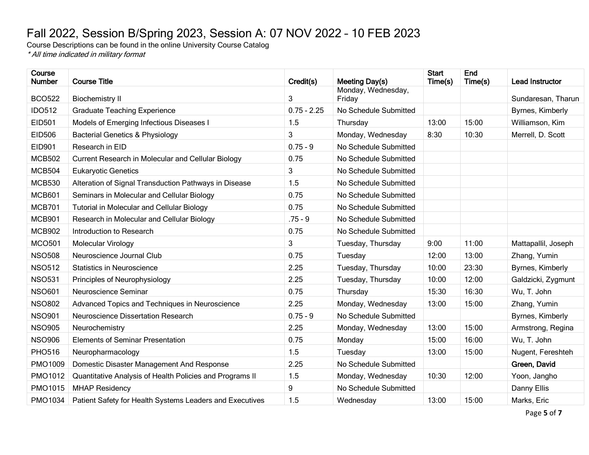## <span id="page-4-0"></span>Fall 2022, Session B/Spring 2023, Session A: 07 NOV 2022 – 10 FEB 2023

Course Descriptions can be found in the online University Course Catalog \* All time indicated in military format

| Course<br><b>Number</b> | <b>Course Title</b>                                      | Credit(s)     | Meeting Day(s)        | <b>Start</b><br>Time(s) | End<br>Time(s) | Lead Instructor     |
|-------------------------|----------------------------------------------------------|---------------|-----------------------|-------------------------|----------------|---------------------|
|                         |                                                          |               | Monday, Wednesday,    |                         |                |                     |
| <b>BCO522</b>           | <b>Biochemistry II</b>                                   | 3             | Friday                |                         |                | Sundaresan, Tharun  |
| <b>IDO512</b>           | <b>Graduate Teaching Experience</b>                      | $0.75 - 2.25$ | No Schedule Submitted |                         |                | Byrnes, Kimberly    |
| EID501                  | Models of Emerging Infectious Diseases I                 | 1.5           | Thursday              | 13:00                   | 15:00          | Williamson, Kim     |
| EID506                  | <b>Bacterial Genetics &amp; Physiology</b>               | 3             | Monday, Wednesday     | 8:30                    | 10:30          | Merrell, D. Scott   |
| EID901                  | Research in EID                                          | $0.75 - 9$    | No Schedule Submitted |                         |                |                     |
| <b>MCB502</b>           | Current Research in Molecular and Cellular Biology       | 0.75          | No Schedule Submitted |                         |                |                     |
| <b>MCB504</b>           | <b>Eukaryotic Genetics</b>                               | 3             | No Schedule Submitted |                         |                |                     |
| <b>MCB530</b>           | Alteration of Signal Transduction Pathways in Disease    | 1.5           | No Schedule Submitted |                         |                |                     |
| <b>MCB601</b>           | Seminars in Molecular and Cellular Biology               | 0.75          | No Schedule Submitted |                         |                |                     |
| <b>MCB701</b>           | <b>Tutorial in Molecular and Cellular Biology</b>        | 0.75          | No Schedule Submitted |                         |                |                     |
| <b>MCB901</b>           | Research in Molecular and Cellular Biology               | $.75 - 9$     | No Schedule Submitted |                         |                |                     |
| <b>MCB902</b>           | Introduction to Research                                 | 0.75          | No Schedule Submitted |                         |                |                     |
| <b>MCO501</b>           | Molecular Virology                                       | 3             | Tuesday, Thursday     | 9:00                    | 11:00          | Mattapallil, Joseph |
| <b>NSO508</b>           | Neuroscience Journal Club                                | 0.75          | Tuesday               | 12:00                   | 13:00          | Zhang, Yumin        |
| <b>NSO512</b>           | <b>Statistics in Neuroscience</b>                        | 2.25          | Tuesday, Thursday     | 10:00                   | 23:30          | Byrnes, Kimberly    |
| <b>NSO531</b>           | Principles of Neurophysiology                            | 2.25          | Tuesday, Thursday     | 10:00                   | 12:00          | Galdzicki, Zygmunt  |
| <b>NSO601</b>           | Neuroscience Seminar                                     | 0.75          | Thursday              | 15:30                   | 16:30          | Wu, T. John         |
| <b>NSO802</b>           | Advanced Topics and Techniques in Neuroscience           | 2.25          | Monday, Wednesday     | 13:00                   | 15:00          | Zhang, Yumin        |
| <b>NSO901</b>           | Neuroscience Dissertation Research                       | $0.75 - 9$    | No Schedule Submitted |                         |                | Byrnes, Kimberly    |
| <b>NSO905</b>           | Neurochemistry                                           | 2.25          | Monday, Wednesday     | 13:00                   | 15:00          | Armstrong, Regina   |
| <b>NSO906</b>           | <b>Elements of Seminar Presentation</b>                  | 0.75          | Monday                | 15:00                   | 16:00          | Wu, T. John         |
| <b>PHO516</b>           | Neuropharmacology                                        | 1.5           | Tuesday               | 13:00                   | 15:00          | Nugent, Fereshteh   |
| PMO1009                 | Domestic Disaster Management And Response                | 2.25          | No Schedule Submitted |                         |                | Green, David        |
| PMO1012                 | Quantitative Analysis of Health Policies and Programs II | 1.5           | Monday, Wednesday     | 10:30                   | 12:00          | Yoon, Jangho        |
| <b>PMO1015</b>          | <b>MHAP Residency</b>                                    | 9             | No Schedule Submitted |                         |                | Danny Ellis         |
| <b>PMO1034</b>          | Patient Safety for Health Systems Leaders and Executives | 1.5           | Wednesday             | 13:00                   | 15:00          | Marks, Eric         |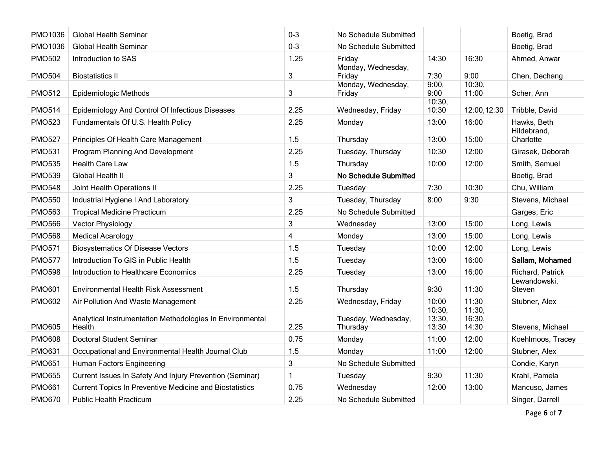| <b>PMO1036</b> | <b>Global Health Seminar</b>                                        | $0 - 3$ | No Schedule Submitted           |                           |                           | Boetig, Brad             |
|----------------|---------------------------------------------------------------------|---------|---------------------------------|---------------------------|---------------------------|--------------------------|
| <b>PMO1036</b> | <b>Global Health Seminar</b>                                        | $0 - 3$ | No Schedule Submitted           |                           |                           | Boetig, Brad             |
| <b>PMO502</b>  | Introduction to SAS                                                 | 1.25    | Friday                          | 14:30                     | 16:30                     | Ahmed, Anwar             |
| <b>PMO504</b>  | <b>Biostatistics II</b>                                             | 3       | Monday, Wednesday,<br>Friday    | 7:30                      | 9:00                      | Chen, Dechang            |
| <b>PMO512</b>  | <b>Epidemiologic Methods</b>                                        | 3       | Monday, Wednesday,<br>Friday    | 9:00,<br>9:00             | 10:30,<br>11:00           | Scher, Ann               |
| <b>PMO514</b>  | Epidemiology And Control Of Infectious Diseases                     | 2.25    | Wednesday, Friday               | 10:30,<br>10:30           | 12:00,12:30               | Tribble, David           |
| <b>PMO523</b>  | Fundamentals Of U.S. Health Policy                                  | 2.25    | Monday                          | 13:00                     | 16:00                     | Hawks, Beth              |
| <b>PMO527</b>  | Principles Of Health Care Management                                | 1.5     | Thursday                        | 13:00                     | 15:00                     | Hildebrand,<br>Charlotte |
| <b>PMO531</b>  | Program Planning And Development                                    | 2.25    | Tuesday, Thursday               | 10:30                     | 12:00                     | Girasek, Deborah         |
| <b>PMO535</b>  | <b>Health Care Law</b>                                              | 1.5     | Thursday                        | 10:00                     | 12:00                     | Smith, Samuel            |
| <b>PMO539</b>  | Global Health II                                                    | 3       | No Schedule Submitted           |                           |                           | Boetig, Brad             |
| <b>PMO548</b>  | Joint Health Operations II                                          | 2.25    | Tuesday                         | 7:30                      | 10:30                     | Chu, William             |
| <b>PMO550</b>  | Industrial Hygiene I And Laboratory                                 | 3       | Tuesday, Thursday               | 8:00                      | 9:30                      | Stevens, Michael         |
| <b>PMO563</b>  | <b>Tropical Medicine Practicum</b>                                  | 2.25    | No Schedule Submitted           |                           |                           | Garges, Eric             |
| <b>PMO566</b>  | <b>Vector Physiology</b>                                            | 3       | Wednesday                       | 13:00                     | 15:00                     | Long, Lewis              |
| <b>PMO568</b>  | <b>Medical Acarology</b>                                            | 4       | Monday                          | 13:00                     | 15:00                     | Long, Lewis              |
| <b>PMO571</b>  | <b>Biosystematics Of Disease Vectors</b>                            | 1.5     | Tuesday                         | 10:00                     | 12:00                     | Long, Lewis              |
| <b>PMO577</b>  | Introduction To GIS in Public Health                                | 1.5     | Tuesday                         | 13:00                     | 16:00                     | Sallam, Mohamed          |
| <b>PMO598</b>  | Introduction to Healthcare Economics                                | 2.25    | Tuesday                         | 13:00                     | 16:00                     | Richard, Patrick         |
| <b>PMO601</b>  | Environmental Health Risk Assessment                                | 1.5     | Thursday                        | 9:30                      | 11:30                     | Lewandowski,<br>Steven   |
| <b>PMO602</b>  | Air Pollution And Waste Management                                  | 2.25    | Wednesday, Friday               | 10:00                     | 11:30                     | Stubner, Alex            |
| <b>PMO605</b>  | Analytical Instrumentation Methodologies In Environmental<br>Health | 2.25    | Tuesday, Wednesday,<br>Thursday | 10:30,<br>13:30,<br>13:30 | 11:30,<br>16:30,<br>14:30 | Stevens, Michael         |
| <b>PMO608</b>  | <b>Doctoral Student Seminar</b>                                     | 0.75    | Monday                          | 11:00                     | 12:00                     | Koehlmoos, Tracey        |
| <b>PMO631</b>  | Occupational and Environmental Health Journal Club                  | 1.5     | Monday                          | 11:00                     | 12:00                     | Stubner, Alex            |
| <b>PMO651</b>  | Human Factors Engineering                                           | 3       | No Schedule Submitted           |                           |                           | Condie, Karyn            |
| <b>PMO655</b>  | Current Issues In Safety And Injury Prevention (Seminar)            | 1       | Tuesday                         | 9:30                      | 11:30                     | Krahl, Pamela            |
| <b>PMO661</b>  | <b>Current Topics In Preventive Medicine and Biostatistics</b>      | 0.75    | Wednesday                       | 12:00                     | 13:00                     | Mancuso, James           |
| <b>PMO670</b>  | <b>Public Health Practicum</b>                                      | 2.25    | No Schedule Submitted           |                           |                           | Singer, Darrell          |